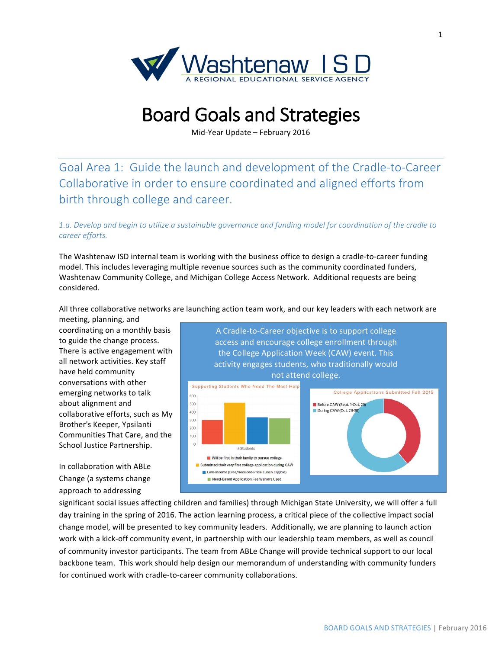

# **Board Goals and Strategies**

Mid-Year Update – February 2016

Goal Area 1: Guide the launch and development of the Cradle-to-Career Collaborative in order to ensure coordinated and aligned efforts from birth through college and career.

### 1.a. Develop and begin to utilize a sustainable governance and funding model for coordination of the cradle to *career\$efforts.*

The Washtenaw ISD internal team is working with the business office to design a cradle-to-career funding model. This includes leveraging multiple revenue sources such as the community coordinated funders, Washtenaw Community College, and Michigan College Access Network. Additional requests are being considered.

All three collaborative networks are launching action team work, and our key leaders with each network are meeting, planning, and

coordinating on a monthly basis to guide the change process. There is active engagement with all network activities. Key staff have held community conversations with other emerging networks to talk about alignment and collaborative efforts, such as My Brother's Keeper, Ypsilanti Communities That Care, and the School Justice Partnership.

In collaboration with ABLe Change (a systems change approach to addressing



significant social issues affecting children and families) through Michigan State University, we will offer a full day training in the spring of 2016. The action learning process, a critical piece of the collective impact social change model, will be presented to key community leaders. Additionally, we are planning to launch action work with a kick-off community event, in partnership with our leadership team members, as well as council of community investor participants. The team from ABLe Change will provide technical support to our local backbone team. This work should help design our memorandum of understanding with community funders for continued work with cradle-to-career community collaborations.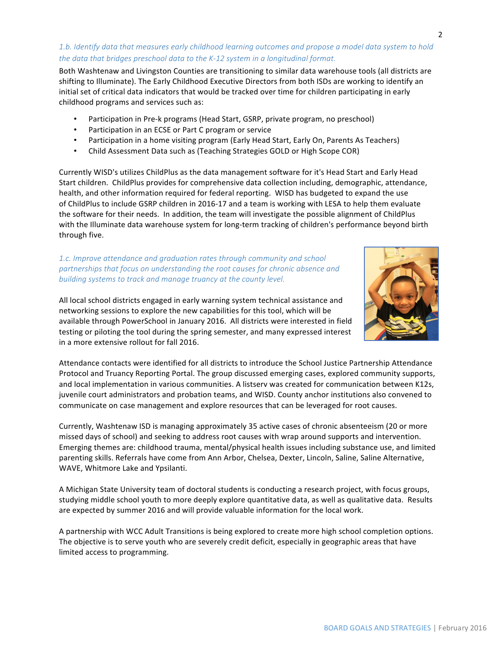## 1.b. Identify data that measures early childhood learning outcomes and propose a model data system to hold the data that bridges preschool data to the K-12 system in a longitudinal format.

Both Washtenaw and Livingston Counties are transitioning to similar data warehouse tools (all districts are shifting to Illuminate). The Early Childhood Executive Directors from both ISDs are working to identify an initial set of critical data indicators that would be tracked over time for children participating in early childhood programs and services such as:

- Participation in Pre-k programs (Head Start, GSRP, private program, no preschool)
- Participation in an ECSE or Part C program or service
- Participation in a home visiting program (Early Head Start, Early On, Parents As Teachers)
- Child Assessment Data such as (Teaching Strategies GOLD or High Scope COR)

Currently WISD's utilizes ChildPlus as the data management software for it's Head Start and Early Head Start children. ChildPlus provides for comprehensive data collection including, demographic, attendance, health, and other information required for federal reporting. WISD has budgeted to expand the use of ChildPlus to include GSRP children in 2016-17 and a team is working with LESA to help them evaluate the software for their needs. In addition, the team will investigate the possible alignment of ChildPlus with the Illuminate data warehouse system for long-term tracking of children's performance beyond birth through five.

#### 1.c. Improve attendance and graduation rates through community and school partnerships that focus on understanding the root causes for chronic absence and building systems to track and manage truancy at the county level.

All local school districts engaged in early warning system technical assistance and networking sessions to explore the new capabilities for this tool, which will be available through PowerSchool in January 2016. All districts were interested in field testing or piloting the tool during the spring semester, and many expressed interest in a more extensive rollout for fall 2016.

Attendance contacts were identified for all districts to introduce the School Justice Partnership Attendance Protocol and Truancy Reporting Portal. The group discussed emerging cases, explored community supports, and local implementation in various communities. A listserv was created for communication between K12s, juvenile court administrators and probation teams, and WISD. County anchor institutions also convened to communicate on case management and explore resources that can be leveraged for root causes.

Currently, Washtenaw ISD is managing approximately 35 active cases of chronic absenteeism (20 or more missed days of school) and seeking to address root causes with wrap around supports and intervention. Emerging themes are: childhood trauma, mental/physical health issues including substance use, and limited parenting skills. Referrals have come from Ann Arbor, Chelsea, Dexter, Lincoln, Saline, Saline Alternative, WAVE, Whitmore Lake and Ypsilanti.

A Michigan State University team of doctoral students is conducting a research project, with focus groups, studying middle school youth to more deeply explore quantitative data, as well as qualitative data. Results are expected by summer 2016 and will provide valuable information for the local work.

A partnership with WCC Adult Transitions is being explored to create more high school completion options. The objective is to serve youth who are severely credit deficit, especially in geographic areas that have limited access to programming.

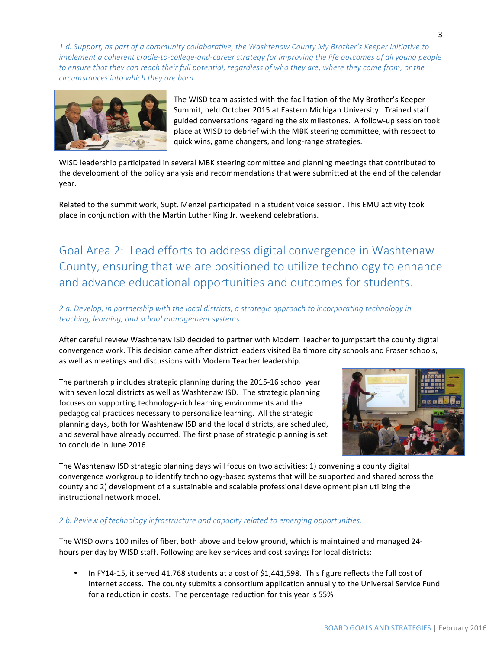1.d. Support, as part of a community collaborative, the Washtenaw County My Brother's Keeper Initiative to implement a coherent cradle-to-college-and-career strategy for improving the life outcomes of all young people to ensure that they can reach their full potential, regardless of who they are, where they come from, or the circumstances into which they are born.



The WISD team assisted with the facilitation of the My Brother's Keeper Summit, held October 2015 at Eastern Michigan University. Trained staff guided conversations regarding the six milestones. A follow-up session took place at WISD to debrief with the MBK steering committee, with respect to quick wins, game changers, and long-range strategies.

WISD leadership participated in several MBK steering committee and planning meetings that contributed to the development of the policy analysis and recommendations that were submitted at the end of the calendar vear.

Related to the summit work, Supt. Menzel participated in a student voice session. This EMU activity took place in conjunction with the Martin Luther King Jr. weekend celebrations.

Goal Area 2: Lead efforts to address digital convergence in Washtenaw County, ensuring that we are positioned to utilize technology to enhance and advance educational opportunities and outcomes for students.

2.a. Develop, in partnership with the local districts, a strategic approach to incorporating technology in teaching, learning, and school management systems.

After careful review Washtenaw ISD decided to partner with Modern Teacher to jumpstart the county digital convergence work. This decision came after district leaders visited Baltimore city schools and Fraser schools, as well as meetings and discussions with Modern Teacher leadership.

The partnership includes strategic planning during the 2015-16 school year with seven local districts as well as Washtenaw ISD. The strategic planning focuses on supporting technology-rich learning environments and the pedagogical practices necessary to personalize learning. All the strategic planning days, both for Washtenaw ISD and the local districts, are scheduled, and several have already occurred. The first phase of strategic planning is set to conclude in June 2016.



The Washtenaw ISD strategic planning days will focus on two activities: 1) convening a county digital convergence workgroup to identify technology-based systems that will be supported and shared across the county and 2) development of a sustainable and scalable professional development plan utilizing the instructional network model.

#### 2.b. Review of technology infrastructure and capacity related to emerging opportunities.

The WISD owns 100 miles of fiber, both above and below ground, which is maintained and managed 24hours per day by WISD staff. Following are key services and cost savings for local districts:

In FY14-15, it served 41,768 students at a cost of \$1,441,598. This figure reflects the full cost of Internet access. The county submits a consortium application annually to the Universal Service Fund for a reduction in costs. The percentage reduction for this year is 55%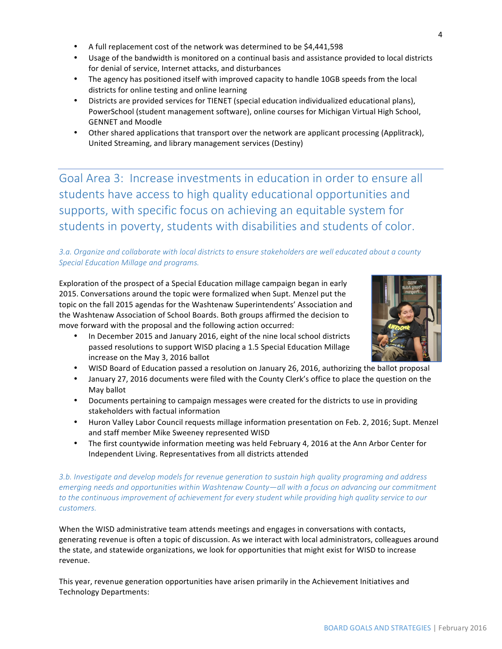- A full replacement cost of the network was determined to be \$4,441,598
- Usage of the bandwidth is monitored on a continual basis and assistance provided to local districts for denial of service, Internet attacks, and disturbances
- The agency has positioned itself with improved capacity to handle 10GB speeds from the local districts for online testing and online learning
- Districts are provided services for TIENET (special education individualized educational plans), PowerSchool (student management software), online courses for Michigan Virtual High School, **GENNET and Moodle**
- Other shared applications that transport over the network are applicant processing (Applitrack), United Streaming, and library management services (Destiny)

Goal Area 3: Increase investments in education in order to ensure all students have access to high quality educational opportunities and supports, with specific focus on achieving an equitable system for students in poverty, students with disabilities and students of color.

# 3.a. Organize and collaborate with local districts to ensure stakeholders are well educated about a county **Special Education Millage and programs.**

Exploration of the prospect of a Special Education millage campaign began in early 2015. Conversations around the topic were formalized when Supt. Menzel put the topic on the fall 2015 agendas for the Washtenaw Superintendents' Association and the Washtenaw Association of School Boards. Both groups affirmed the decision to move forward with the proposal and the following action occurred:



- In December 2015 and January 2016, eight of the nine local school districts passed resolutions to support WISD placing a 1.5 Special Education Millage increase on the May 3, 2016 ballot
- WISD Board of Education passed a resolution on January 26, 2016, authorizing the ballot proposal
- January 27, 2016 documents were filed with the County Clerk's office to place the question on the May ballot
- Documents pertaining to campaign messages were created for the districts to use in providing stakeholders with factual information
- Huron Valley Labor Council requests millage information presentation on Feb. 2, 2016; Supt. Menzel and staff member Mike Sweeney represented WISD
- The first countywide information meeting was held February 4, 2016 at the Ann Arbor Center for Independent Living. Representatives from all districts attended

3.b. Investigate and develop models for revenue generation to sustain high quality programing and address *emerging needs and opportunities within Washtenaw County—all with a focus on advancing our commitment* to the continuous improvement of achievement for every student while providing high quality service to our *customers.*

When the WISD administrative team attends meetings and engages in conversations with contacts, generating revenue is often a topic of discussion. As we interact with local administrators, colleagues around the state, and statewide organizations, we look for opportunities that might exist for WISD to increase revenue.

This year, revenue generation opportunities have arisen primarily in the Achievement Initiatives and Technology Departments: